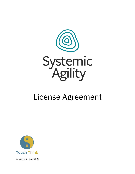

# License Agreement



Version 1.5 – June 2022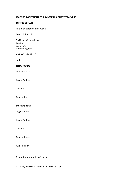# **LICENSE AGREEMENT FOR SYSTEMIC AGILITY TRAINERS**

# **INTRODUCTION**

This is an agreement between:

Touch Think Ltd

16 Upper Woburn Place London WC1H 0AF United Kingdom

VAT: GB109049328

and

# *Licensee data*

Trainer name:

Postal Address:

Country:

Email Address:

#### *Invoicing data*

Organisation:

Postal Address:

Country:

Email Address:

VAT Number:

(hereafter referred to as "you").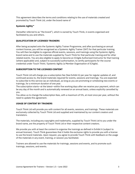This agreement describes the terms and conditions relating to the use of materials created and promoted by Touch Think Ltd, under the brand name of

# **Systemic Agility™**

(hereafter referred to as "the brand"), which is owned by Touch Think, in events organised and facilitated by you and others.

# **QUALIFICATION OF LICENSED TRAINERS**

After being accepted onto the Systemic Agility Trainer Programme, and after purchasing an annual content license, you will be recognised as a Systemic Agility Trainer (SAT) for that particular training. You will then be eligible to organise official events, sessions, and trainings using the Systemic Agility brand name and to use the materials supplied by Touch Think for that particular training and for other related events. You are also eligible to apply to become an ICAgile Authorised Instructor for that training (where applicable) and, subject to successful authorisation, to certify participants for the course credential under Touch Think / Systemic Agility (a Member Organisation of ICAgile).

# **SUBSCRIPTION TO THE LICENSED CONTENT**

Touch Think Ltd will charge you a subscription fee (See Exhibit A) per year for regular updates of, and continued access to, the brand materials required for events, sessions and trainings. You are expected to subscribe to this service (as an individual), as long as you are promoting or scheduling new events or trainings, for a minimum duration of one year.

The subscription starts—at the latest—within five working days after we receive your payment, which can be any day of the month and is automatically renewed on an annual basis, unless explicitly cancelled by you.

You allow us to change the subscription fees, with a maximum of 5%, at most once per year, without the need to update this agreement.

# **USAGE OF CONTENT BY TRAINERS**

Touch Think Ltd will provide you with content for all events, sessions, and trainings. These materials are exclusively collected by Touch Think Ltd and supplied and maintained by our content creators and translators.

The materials, including any copyrights and trademarks, supplied by Touch Think Ltd to you under the brand name, are the property of Touch Think Ltd or their respective content creators.

We provide you with at least the content to organise the trainings as defined in Exhibit A (subject to annual licenses). Touch Think guarantees that it holds the exclusive rights to provide you with a license to use the brand materials. Upon request, you agree to provide Touch Think with feedback on the usage of the materials in any event, training, or session you facilitated.

Trainers are allowed to use the materials for trainings, sessions and events, and to promote such trainings, sessions, and events.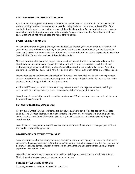# **CUSTOMISATION OF CONTENT BY TRAINERS**

As a licensed trainer, you are allowed to personalise and customise the materials you use. However, events, trainings and sessions can only be branded using the brand name when at least 80% of the available time is spent on topics that are part of the official materials. Any customisations you make in connection with the brand remain your sole property. You are responsible for guaranteeing that your customisations do not infringe upon the rights of third parties.

### **EVENT FEE FROM TRAINERS**

For use of the materials (or flip charts, any slide deck you created yourself, or other materials created yourself and inspired by our materials) in any event, training or session for which you are financially rewarded (beyond mere compensation of travel and accommodation), you agree to pay a fixed event fee (see Exhibit A) for each hour of use of the official materials.

This fee structure always applies, regardless of whether the event or session is marketed under the brand name or not, but it is only applicable to the part of the event or session in which the official materials, supplied by Touch Think, are being used. However, the courses listed in Exhibit A, or other predefined courses by Touch Think, have a fixed number of hours, even when other materials are used.

License fees are waived for all sessions lasting 4 hours or less, for which you do not receive payment, directly or indirectly, by an organiser, an employer, or by any participant, and which have as their main purpose the marketing of the brand and your events.

As Licensed Trainer, you are accountable to pay the event fee. If you organise an event, training or session with business partners, you will remain accountable for paying the event fee.

You allow us to change the event fees, with a maximum of 5%, at most once per year, without the need to update this agreement.

# **PER-CERTIFICATE FEE (ICAgile only)**

For any event where ICAgile certificates are issued, you agree to pay a fixed fee per certificate (see Exhibit A). As Licensed Trainer, you are accountable to pay the per-certificate fee. If you organise an event, training or session with business partners, you will remain accountable for paying the percertificate fee.

You allow us to change the per-certificate fee, with a maximum of 5%, at most once per year, without the need to update this agreement.

#### **ORGANISATION OF EVENTS BY TRAINERS**

You are responsible for scheduling trainings, sessions or events, their quality, the selection of business partners for logistics, locations, registration, etc. You cannot retain the services of other (co-)trainers for delivery of licensed content topics unless these (co-)trainers have also signed this same agreement separately with Touch Think.

You will act as the primary contact for all scheduled trainings and events, and you will inform Touch Think of new trainings or events, changes, or cancellations.

#### **PRICING OF EVENTS BY TRAINERS**

License Agreement for Trainers – Version 1.5 – June 2022 4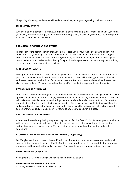The pricing of trainings and events will be determined by you or your organising business partners.

### **IN-COMPANY EVENTS**

When you, as an external or internal SAT, organise a private training, event, or session in an organisation (in-house), the same fees apply as per any other training, event, or session (Exhibit A). You are required to inform Touch Think of the event.

# **PROMOTION OF CONTENT AND EVENTS**

The fees cover the administration of all your events, listing of all your public events with Touch Think and with ICAgile, including their dates and locations. The fees also include worldwide marketing by Touch Think for all public courses under the Systemic Agility brand, including on the Systemic Agility central website. Direct sales, and marketing for specific trainings or events, is the primary responsibility of you and your organising business partners.

#### **ATTENDEES OF EVENTS**

You agree to provide Touch Think Ltd and ICAgile with the names and email addresses of attendees of public and private events, for certification purposes. Touch Think Ltd has the right to use such email addresses to conduct evaluations of events and sessions. For public events, the email addresses may also be used by Touch Think for related marketing efforts, subject to legal opt-in requirements.

#### **EVALUATION BY ATTENDEES**

Touch Think Ltd reserves the right to calculate and review evaluation scores of trainings and events. You agree to the publication of these ratings, where this is deemed necessary or beneficial. Touch Think Ltd will make sure that all evaluations and ratings that are published are also shared with you. In case the scores indicate that the quality of a training or session offered by you was insufficient, you will be asked and supported to improve the quality of your work. Touch Think Ltd reserves the right to terminate this agreement when quality remains poor. No refund of any fees will apply in this case.

#### **CERTIFICATION OF ATTENDEES**

Where certification is required, you agree to pay the certification fees (Exhibit A). You agree to provide us with the names and email addresses of the attendees in a class roster. You allow us to change the certification fees, with a maximum of 5%, at most once per year, without the need to update this agreement.

# **STUDENT SUBMISSION FOR** *REMOTE* **TRAININGS (ICAgile only)**

For ICAgile-certificated courses, the certification requirement for remote classes requires additional documentation, subject to audit by ICAgile. Students must produce an electronic artefact for instructor evaluation and feedback at the end of the class. You agree to send the student submissions to us.

# **LIMITATIONS ON CLASS SIZE**

You agree that *REMOTE* trainings will have a maximum of 12 students.

# **LIMITATIONS ON NUMBER OF HOURS**

License Agreement for Trainers – Version 1.5 – June 2022 5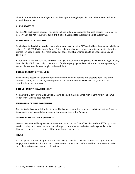The minimum total number of synchronous hours per training is specified in Exhibit A. You are free to extend these hours.

#### **CLASS REGISTER**

For ICAgile-certificated courses, you agree to keep a daily class register for each session (remote or inperson). You are not required to submit this daily class register but it is subject to audit by us.

#### **DISTRIBUTION OF CONTENT**

Original (editable) digital branded materials are only available for SATs and will not be made available to others. For *IN-PERSON* trainings, Touch Think Ltd grants licensed trainers permission to distribute the printed (on paper) slides (2 or more slides per page) and student manuals to attendees and paying customers.

In addition, for IN-PERSON and REMOTE trainings, presented training slides may be shared digitally only in read-only PDF format, only in the format of 6 slides per page, and only after the content appearing in each slide has already been taught to the recipient.

#### **COLLABORATION OF TRAINERS**

You will have access to a platform for communication among trainers and creators about the brand content, events, and sessions, where products and experiences can be discussed, and personal contributions can be shared.

#### **EXTENSION OF THIS AGREEMENT**

You agree that any information you share with one SAT may be shared with other SAT's in the same Touch Think Ltd business network.

#### **LIMITATION OF THIS AGREEMENT**

Only individuals can apply for this license. The license is awarded to people (individual trainers), not to businesses (such as publishers, training companies, or event organisers).

#### **TERMINATION OF THIS AGREEMENT**

You may terminate this agreement at any time, but you allow Touch Think Ltd and the TTT's up to four weeks to adapt and make the necessary changes to repositories, websites, trainings, and events. However, there will be no refund of the annual subscription fee.

#### **TRUST**

We recognise that formal agreements are necessary to enable business, but we also agree that we engage in this collaboration with trust. We trust each other's best efforts and best intentions to make our collaboration a success for both parties.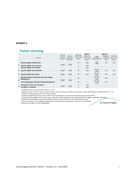#### **EXHIBIT A**

# **Trainer Licensing**

| Course |                                                                                     | Annual<br>Content<br>License* | License<br>Renewal<br>Discount <sup>®</sup> | Minimum<br>synchronous<br>hours <sup>®</sup> | Option 1                               | Option 2                                     |                                                 |                                            |
|--------|-------------------------------------------------------------------------------------|-------------------------------|---------------------------------------------|----------------------------------------------|----------------------------------------|----------------------------------------------|-------------------------------------------------|--------------------------------------------|
|        |                                                                                     |                               |                                             |                                              | Event Fee<br>(per event<br>hour) $\pi$ | <b>ICAgile</b><br>Authorisation <sup>4</sup> | ICAgile Per-<br>Certificate<br>Fee <sup>§</sup> | Event Fee<br>(per event<br>hour) $\approx$ |
| 1      | <b>Systemic Agility Fundamentals</b>                                                | £1200                         | $-E200$                                     | 14                                           | £39                                    | ICP<br>£500                                  | £73                                             | £21                                        |
|        | <b>Systemic Agility Product Owner</b>                                               |                               |                                             | $\overline{7}$                               | £39                                    |                                              |                                                 |                                            |
|        | <b>Systemic Agility Scrum Master</b>                                                |                               |                                             | 7                                            | £39                                    |                                              |                                                 |                                            |
| 2      | <b>Systemic Agility Team Facilitator</b>                                            | £1200                         | $-E200$                                     | 14                                           | £39                                    | <b>ICP-ATF</b><br>£500                       | £73                                             | £21                                        |
| 3      | <b>Systemic Agility Team Coach</b>                                                  | £1200                         | $-E200$                                     | 14                                           | £39                                    | ICP-ACC<br>£500                              | £73                                             | £21                                        |
|        | <b>Enterprise Agility Foundations with Lean Change</b><br>4 <sup>¢</sup> Management | £2400                         | $-E200$                                     | 14                                           |                                        | <b>ICP-ENT</b><br>£500                       | £73                                             |                                            |
|        | Lean Change Agent with Lean Change Management                                       |                               |                                             | 14                                           |                                        | <b>ICP-CAT</b><br>£500                       | £73                                             |                                            |
| 5      | StrongSuits® Team and Practitioner                                                  | £1200                         | $-E200$                                     | 7                                            | £39                                    |                                              |                                                 |                                            |
|        | StrongSuits® Facilitator                                                            |                               |                                             | 7                                            | £39                                    |                                              |                                                 |                                            |

♢Available only in conjunction with courses 1, 2, or 3

\*£200 off for the 2nd and 3rd active license (or trainer, if you're a group of trainers sponsored by a single organisation), and £400 off for 4th, 5th etc  $\triangleq$  Applies to license renewals that occur prior to expiry

<sup>4</sup>In order to promote the course, and in order to issue certifications, the minimum synchronous hours must be met

✩Includes Systemic Agility course roster, course evaluation, trainer evaluation, and customised Systemic Agility certificates and badges

▲Includes the authorisation session with ICAgile plus preparation assistance for the authorisation session

§If you are issuing 1 or more ICAgile certificates per course you will be charged for a minimum of 6 certificates

<sup>6</sup> All prices are in GBP. Excl. VAT (if applicable).

SystemicAgility